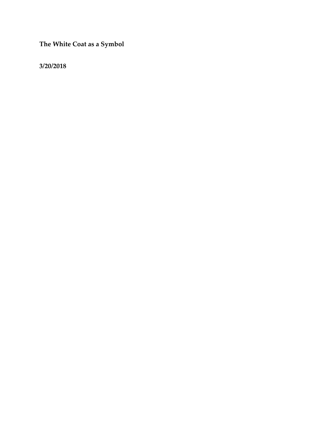**The White Coat as a Symbol**

**3/20/2018**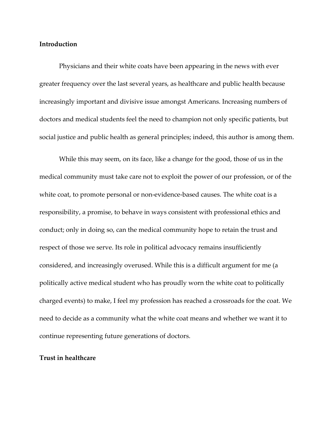# **Introduction**

Physicians and their white coats have been appearing in the news with ever greater frequency over the last several years, as healthcare and public health because increasingly important and divisive issue amongst Americans. Increasing numbers of doctors and medical students feel the need to champion not only specific patients, but social justice and public health as general principles; indeed, this author is among them.

While this may seem, on its face, like a change for the good, those of us in the medical community must take care not to exploit the power of our profession, or of the white coat, to promote personal or non-evidence-based causes. The white coat is a responsibility, a promise, to behave in ways consistent with professional ethics and conduct; only in doing so, can the medical community hope to retain the trust and respect of those we serve. Its role in political advocacy remains insufficiently considered, and increasingly overused. While this is a difficult argument for me (a politically active medical student who has proudly worn the white coat to politically charged events) to make, I feel my profession has reached a crossroads for the coat. We need to decide as a community what the white coat means and whether we want it to continue representing future generations of doctors.

### **Trust in healthcare**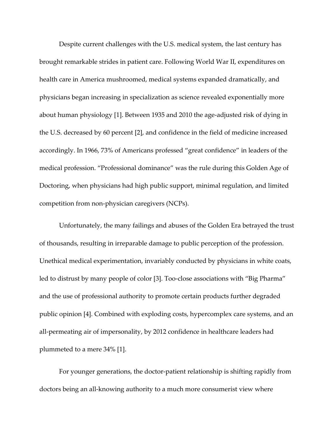Despite current challenges with the U.S. medical system, the last century has brought remarkable strides in patient care. Following World War II, expenditures on health care in America mushroomed, medical systems expanded dramatically, and physicians began increasing in specialization as science revealed exponentially more about human physiology [1]. Between 1935 and 2010 the age-adjusted risk of dying in the U.S. decreased by 60 percent [2], and confidence in the field of medicine increased accordingly. In 1966, 73% of Americans professed "great confidence" in leaders of the medical profession. "Professional dominance" was the rule during this Golden Age of Doctoring, when physicians had high public support, minimal regulation, and limited competition from non-physician caregivers (NCPs).

Unfortunately, the many failings and abuses of the Golden Era betrayed the trust of thousands, resulting in irreparable damage to public perception of the profession. Unethical medical experimentation, invariably conducted by physicians in white coats, led to distrust by many people of color [3]. Too-close associations with "Big Pharma" and the use of professional authority to promote certain products further degraded public opinion [4]. Combined with exploding costs, hypercomplex care systems, and an all-permeating air of impersonality, by 2012 confidence in healthcare leaders had plummeted to a mere 34% [1].

For younger generations, the doctor-patient relationship is shifting rapidly from doctors being an all-knowing authority to a much more consumerist view where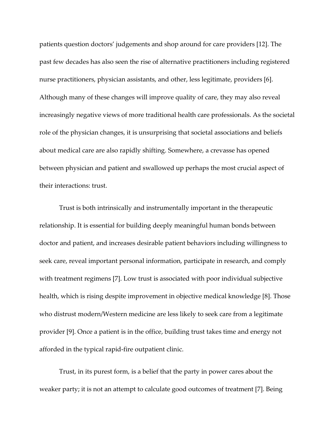patients question doctors' judgements and shop around for care providers [12]. The past few decades has also seen the rise of alternative practitioners including registered nurse practitioners, physician assistants, and other, less legitimate, providers [6]. Although many of these changes will improve quality of care, they may also reveal increasingly negative views of more traditional health care professionals. As the societal role of the physician changes, it is unsurprising that societal associations and beliefs about medical care are also rapidly shifting. Somewhere, a crevasse has opened between physician and patient and swallowed up perhaps the most crucial aspect of their interactions: trust.

Trust is both intrinsically and instrumentally important in the therapeutic relationship. It is essential for building deeply meaningful human bonds between doctor and patient, and increases desirable patient behaviors including willingness to seek care, reveal important personal information, participate in research, and comply with treatment regimens [7]. Low trust is associated with poor individual subjective health, which is rising despite improvement in objective medical knowledge [8]. Those who distrust modern/Western medicine are less likely to seek care from a legitimate provider [9]. Once a patient is in the office, building trust takes time and energy not afforded in the typical rapid-fire outpatient clinic.

Trust, in its purest form, is a belief that the party in power cares about the weaker party; it is not an attempt to calculate good outcomes of treatment [7]. Being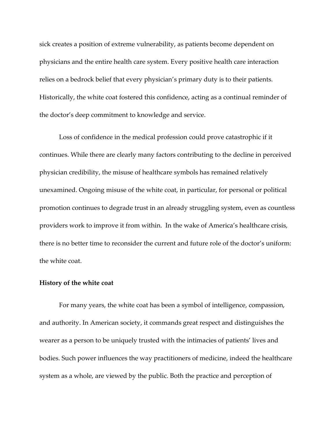sick creates a position of extreme vulnerability, as patients become dependent on physicians and the entire health care system. Every positive health care interaction relies on a bedrock belief that every physician's primary duty is to their patients. Historically, the white coat fostered this confidence, acting as a continual reminder of the doctor's deep commitment to knowledge and service.

Loss of confidence in the medical profession could prove catastrophic if it continues. While there are clearly many factors contributing to the decline in perceived physician credibility, the misuse of healthcare symbols has remained relatively unexamined. Ongoing misuse of the white coat, in particular, for personal or political promotion continues to degrade trust in an already struggling system, even as countless providers work to improve it from within. In the wake of America's healthcare crisis, there is no better time to reconsider the current and future role of the doctor's uniform: the white coat.

### **History of the white coat**

For many years, the white coat has been a symbol of intelligence, compassion, and authority. In American society, it commands great respect and distinguishes the wearer as a person to be uniquely trusted with the intimacies of patients' lives and bodies. Such power influences the way practitioners of medicine, indeed the healthcare system as a whole, are viewed by the public. Both the practice and perception of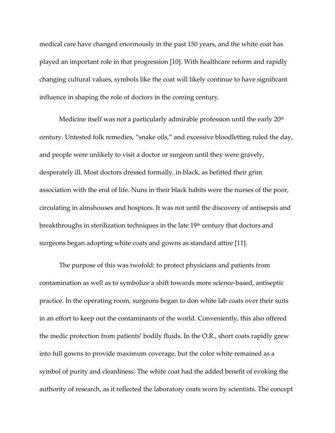medical care have changed enormously in the past 150 years, and the white coat has played an important role in that progression [10]. With healthcare reform and rapidly changing cultural values, symbols like the coat will likely continue to have significant influence in shaping the role of doctors in the coming century.

Medicine itself was not a particularly admirable profession until the early  $20<sup>th</sup>$ century. Untested folk remedies, "snake oils," and excessive bloodletting ruled the day, and people were unlikely to visit a doctor or surgeon until they were gravely, desperately ill. Most doctors dressed formally, in black, as befitted their grim association with the end of life. Nuns in their black habits were the nurses of the poor, circulating in almshouses and hospices. It was not until the discovery of antisepsis and breakthroughs in sterilization techniques in the late 19<sup>th</sup> century that doctors and surgeons began adopting white coats and gowns as standard attire [11].

The purpose of this was twofold: to protect physicians and patients from contamination as well as to symbolize a shift towards more science-based, antiseptic practice. In the operating room, surgeons began to don white lab coats over their suits in an effort to keep out the contaminants of the world. Conveniently, this also offered the medic protection from patients' bodily fluids. In the O.R., short coats rapidly grew into full gowns to provide maximum coverage, but the color white remained as a symbol of purity and cleanliness. The white coat had the added benefit of evoking the authority of research, as it reflected the laboratory coats worn by scientists. The concept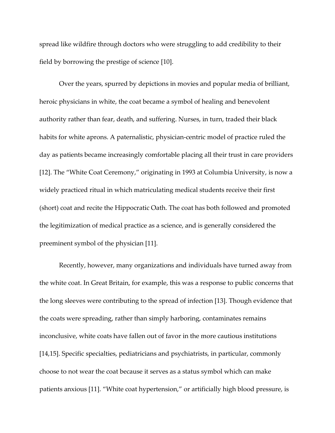spread like wildfire through doctors who were struggling to add credibility to their field by borrowing the prestige of science [10].

Over the years, spurred by depictions in movies and popular media of brilliant, heroic physicians in white, the coat became a symbol of healing and benevolent authority rather than fear, death, and suffering. Nurses, in turn, traded their black habits for white aprons. A paternalistic, physician-centric model of practice ruled the day as patients became increasingly comfortable placing all their trust in care providers [12]. The "White Coat Ceremony," originating in 1993 at Columbia University, is now a widely practiced ritual in which matriculating medical students receive their first (short) coat and recite the Hippocratic Oath. The coat has both followed and promoted the legitimization of medical practice as a science, and is generally considered the preeminent symbol of the physician [11].

Recently, however, many organizations and individuals have turned away from the white coat. In Great Britain, for example, this was a response to public concerns that the long sleeves were contributing to the spread of infection [13]. Though evidence that the coats were spreading, rather than simply harboring, contaminates remains inconclusive, white coats have fallen out of favor in the more cautious institutions [14,15]. Specific specialties, pediatricians and psychiatrists, in particular, commonly choose to not wear the coat because it serves as a status symbol which can make patients anxious [11]. "White coat hypertension," or artificially high blood pressure, is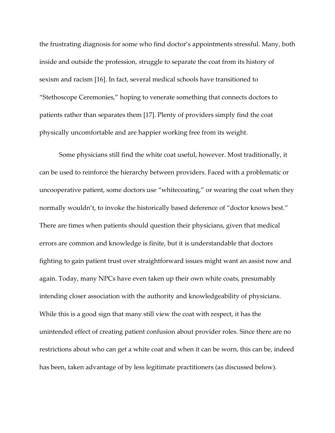the frustrating diagnosis for some who find doctor's appointments stressful. Many, both inside and outside the profession, struggle to separate the coat from its history of sexism and racism [16]. In fact, several medical schools have transitioned to "Stethoscope Ceremonies," hoping to venerate something that connects doctors to patients rather than separates them [17]. Plenty of providers simply find the coat physically uncomfortable and are happier working free from its weight.

Some physicians still find the white coat useful, however. Most traditionally, it can be used to reinforce the hierarchy between providers. Faced with a problematic or uncooperative patient, some doctors use "whitecoating," or wearing the coat when they normally wouldn't, to invoke the historically based deference of "doctor knows best." There are times when patients should question their physicians, given that medical errors are common and knowledge is finite, but it is understandable that doctors fighting to gain patient trust over straightforward issues might want an assist now and again. Today, many NPCs have even taken up their own white coats, presumably intending closer association with the authority and knowledgeability of physicians. While this is a good sign that many still view the coat with respect, it has the unintended effect of creating patient confusion about provider roles. Since there are no restrictions about who can get a white coat and when it can be worn, this can be, indeed has been, taken advantage of by less legitimate practitioners (as discussed below).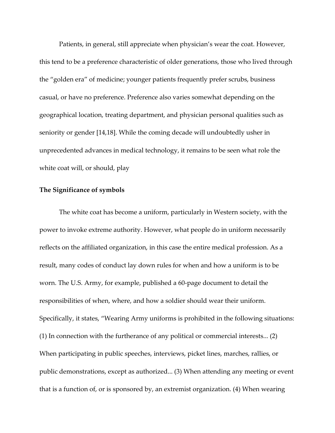Patients, in general, still appreciate when physician's wear the coat. However, this tend to be a preference characteristic of older generations, those who lived through the "golden era" of medicine; younger patients frequently prefer scrubs, business casual, or have no preference. Preference also varies somewhat depending on the geographical location, treating department, and physician personal qualities such as seniority or gender [14,18]. While the coming decade will undoubtedly usher in unprecedented advances in medical technology, it remains to be seen what role the white coat will, or should, play

#### **The Significance of symbols**

The white coat has become a uniform, particularly in Western society, with the power to invoke extreme authority. However, what people do in uniform necessarily reflects on the affiliated organization, in this case the entire medical profession. As a result, many codes of conduct lay down rules for when and how a uniform is to be worn. The U.S. Army, for example, published a 60-page document to detail the responsibilities of when, where, and how a soldier should wear their uniform. Specifically, it states, "Wearing Army uniforms is prohibited in the following situations: (1) In connection with the furtherance of any political or commercial interests... (2) When participating in public speeches, interviews, picket lines, marches, rallies, or public demonstrations, except as authorized... (3) When attending any meeting or event that is a function of, or is sponsored by, an extremist organization. (4) When wearing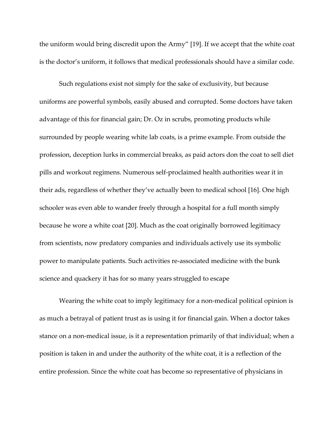the uniform would bring discredit upon the Army" [19]. If we accept that the white coat is the doctor's uniform, it follows that medical professionals should have a similar code.

Such regulations exist not simply for the sake of exclusivity, but because uniforms are powerful symbols, easily abused and corrupted. Some doctors have taken advantage of this for financial gain; Dr. Oz in scrubs, promoting products while surrounded by people wearing white lab coats, is a prime example. From outside the profession, deception lurks in commercial breaks, as paid actors don the coat to sell diet pills and workout regimens. Numerous self-proclaimed health authorities wear it in their ads, regardless of whether they've actually been to medical school [16]. One high schooler was even able to wander freely through a hospital for a full month simply because he wore a white coat [20]. Much as the coat originally borrowed legitimacy from scientists, now predatory companies and individuals actively use its symbolic power to manipulate patients. Such activities re-associated medicine with the bunk science and quackery it has for so many years struggled to escape

Wearing the white coat to imply legitimacy for a non-medical political opinion is as much a betrayal of patient trust as is using it for financial gain. When a doctor takes stance on a non-medical issue, is it a representation primarily of that individual; when a position is taken in and under the authority of the white coat, it is a reflection of the entire profession. Since the white coat has become so representative of physicians in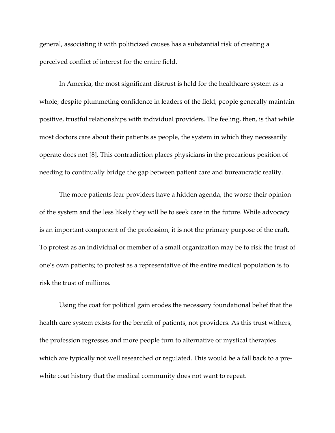general, associating it with politicized causes has a substantial risk of creating a perceived conflict of interest for the entire field.

In America, the most significant distrust is held for the healthcare system as a whole; despite plummeting confidence in leaders of the field, people generally maintain positive, trustful relationships with individual providers. The feeling, then, is that while most doctors care about their patients as people, the system in which they necessarily operate does not [8]. This contradiction places physicians in the precarious position of needing to continually bridge the gap between patient care and bureaucratic reality.

The more patients fear providers have a hidden agenda, the worse their opinion of the system and the less likely they will be to seek care in the future. While advocacy is an important component of the profession, it is not the primary purpose of the craft. To protest as an individual or member of a small organization may be to risk the trust of one's own patients; to protest as a representative of the entire medical population is to risk the trust of millions.

Using the coat for political gain erodes the necessary foundational belief that the health care system exists for the benefit of patients, not providers. As this trust withers, the profession regresses and more people turn to alternative or mystical therapies which are typically not well researched or regulated. This would be a fall back to a prewhite coat history that the medical community does not want to repeat.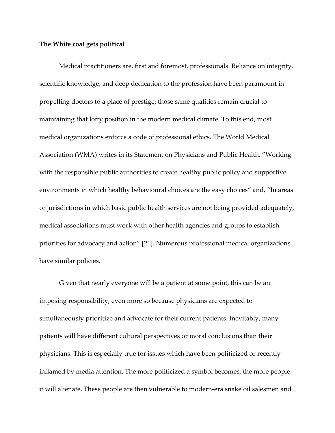### **The White coat gets political**

Medical practitioners are, first and foremost, professionals. Reliance on integrity, scientific knowledge, and deep dedication to the profession have been paramount in propelling doctors to a place of prestige; those same qualities remain crucial to maintaining that lofty position in the modern medical climate. To this end, most medical organizations enforce a code of professional ethics. The World Medical Association (WMA) writes in its Statement on Physicians and Public Health, "Working with the responsible public authorities to create healthy public policy and supportive environments in which healthy behavioural choices are the easy choices" and, "In areas or jurisdictions in which basic public health services are not being provided adequately, medical associations must work with other health agencies and groups to establish priorities for advocacy and action" [21]. Numerous professional medical organizations have similar policies.

Given that nearly everyone will be a patient at some point, this can be an imposing responsibility, even more so because physicians are expected to simultaneously prioritize and advocate for their current patients. Inevitably, many patients will have different cultural perspectives or moral conclusions than their physicians. This is especially true for issues which have been politicized or recently inflamed by media attention. The more politicized a symbol becomes, the more people it will alienate. These people are then vulnerable to modern-era snake oil salesmen and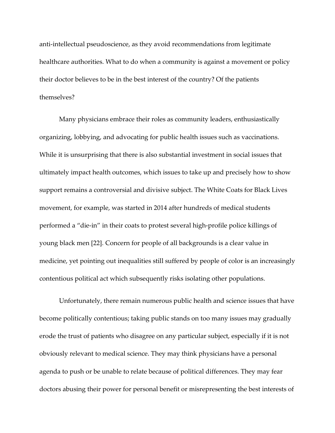anti-intellectual pseudoscience, as they avoid recommendations from legitimate healthcare authorities. What to do when a community is against a movement or policy their doctor believes to be in the best interest of the country? Of the patients themselves?

Many physicians embrace their roles as community leaders, enthusiastically organizing, lobbying, and advocating for public health issues such as vaccinations. While it is unsurprising that there is also substantial investment in social issues that ultimately impact health outcomes, which issues to take up and precisely how to show support remains a controversial and divisive subject. The White Coats for Black Lives movement, for example, was started in 2014 after hundreds of medical students performed a "die-in" in their coats to protest several high-profile police killings of young black men [22]. Concern for people of all backgrounds is a clear value in medicine, yet pointing out inequalities still suffered by people of color is an increasingly contentious political act which subsequently risks isolating other populations.

Unfortunately, there remain numerous public health and science issues that have become politically contentious; taking public stands on too many issues may gradually erode the trust of patients who disagree on any particular subject, especially if it is not obviously relevant to medical science. They may think physicians have a personal agenda to push or be unable to relate because of political differences. They may fear doctors abusing their power for personal benefit or misrepresenting the best interests of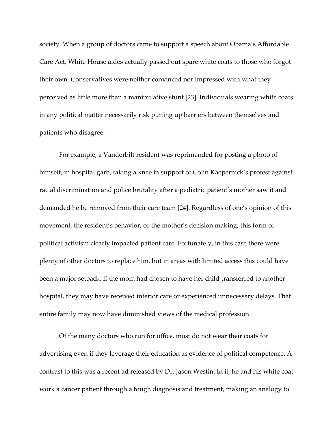society. When a group of doctors came to support a speech about Obama's Affordable Care Act, White House aides actually passed out spare white coats to those who forgot their own. Conservatives were neither convinced nor impressed with what they perceived as little more than a manipulative stunt [23]. Individuals wearing white coats in any political matter necessarily risk putting up barriers between themselves and patients who disagree.

For example, a Vanderbilt resident was reprimanded for posting a photo of himself, in hospital garb, taking a knee in support of Colin Kaepernick's protest against racial discrimination and police brutality after a pediatric patient's mother saw it and demanded he be removed from their care team [24]. Regardless of one's opinion of this movement, the resident's behavior, or the mother's decision making, this form of political activism clearly impacted patient care. Fortunately, in this case there were plenty of other doctors to replace him, but in areas with limited access this could have been a major setback. If the mom had chosen to have her child transferred to another hospital, they may have received inferior care or experienced unnecessary delays. That entire family may now have diminished views of the medical profession.

Of the many doctors who run for office, most do not wear their coats for advertising even if they leverage their education as evidence of political competence. A contrast to this was a recent ad released by Dr. Jason Westin. In it, he and his white coat work a cancer patient through a tough diagnosis and treatment, making an analogy to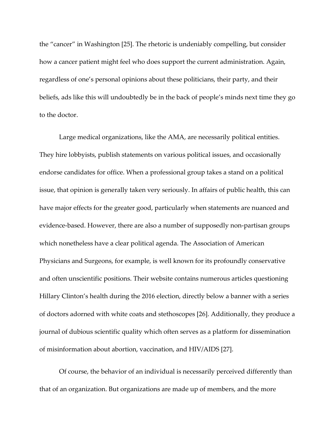the "cancer" in Washington [25]. The rhetoric is undeniably compelling, but consider how a cancer patient might feel who does support the current administration. Again, regardless of one's personal opinions about these politicians, their party, and their beliefs, ads like this will undoubtedly be in the back of people's minds next time they go to the doctor.

Large medical organizations, like the AMA, are necessarily political entities. They hire lobbyists, publish statements on various political issues, and occasionally endorse candidates for office. When a professional group takes a stand on a political issue, that opinion is generally taken very seriously. In affairs of public health, this can have major effects for the greater good, particularly when statements are nuanced and evidence-based. However, there are also a number of supposedly non-partisan groups which nonetheless have a clear political agenda. The Association of American Physicians and Surgeons, for example, is well known for its profoundly conservative and often unscientific positions. Their website contains numerous articles questioning Hillary Clinton's health during the 2016 election, directly below a banner with a series of doctors adorned with white coats and stethoscopes [26]. Additionally, they produce a journal of dubious scientific quality which often serves as a platform for dissemination of misinformation about abortion, vaccination, and HIV/AIDS [27].

Of course, the behavior of an individual is necessarily perceived differently than that of an organization. But organizations are made up of members, and the more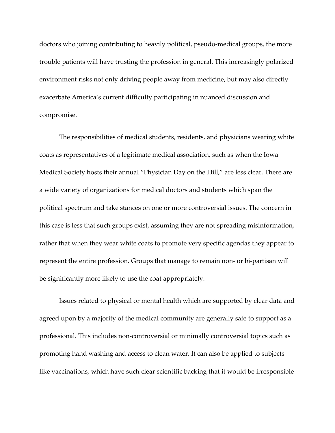doctors who joining contributing to heavily political, pseudo-medical groups, the more trouble patients will have trusting the profession in general. This increasingly polarized environment risks not only driving people away from medicine, but may also directly exacerbate America's current difficulty participating in nuanced discussion and compromise.

The responsibilities of medical students, residents, and physicians wearing white coats as representatives of a legitimate medical association, such as when the Iowa Medical Society hosts their annual "Physician Day on the Hill," are less clear. There are a wide variety of organizations for medical doctors and students which span the political spectrum and take stances on one or more controversial issues. The concern in this case is less that such groups exist, assuming they are not spreading misinformation, rather that when they wear white coats to promote very specific agendas they appear to represent the entire profession. Groups that manage to remain non- or bi-partisan will be significantly more likely to use the coat appropriately.

Issues related to physical or mental health which are supported by clear data and agreed upon by a majority of the medical community are generally safe to support as a professional. This includes non-controversial or minimally controversial topics such as promoting hand washing and access to clean water. It can also be applied to subjects like vaccinations, which have such clear scientific backing that it would be irresponsible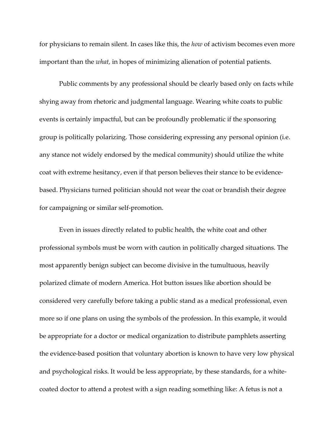for physicians to remain silent. In cases like this, the *how* of activism becomes even more important than the *what,* in hopes of minimizing alienation of potential patients.

Public comments by any professional should be clearly based only on facts while shying away from rhetoric and judgmental language. Wearing white coats to public events is certainly impactful, but can be profoundly problematic if the sponsoring group is politically polarizing. Those considering expressing any personal opinion (i.e. any stance not widely endorsed by the medical community) should utilize the white coat with extreme hesitancy, even if that person believes their stance to be evidencebased. Physicians turned politician should not wear the coat or brandish their degree for campaigning or similar self-promotion.

Even in issues directly related to public health, the white coat and other professional symbols must be worn with caution in politically charged situations. The most apparently benign subject can become divisive in the tumultuous, heavily polarized climate of modern America. Hot button issues like abortion should be considered very carefully before taking a public stand as a medical professional, even more so if one plans on using the symbols of the profession. In this example, it would be appropriate for a doctor or medical organization to distribute pamphlets asserting the evidence-based position that voluntary abortion is known to have very low physical and psychological risks. It would be less appropriate, by these standards, for a whitecoated doctor to attend a protest with a sign reading something like: A fetus is not a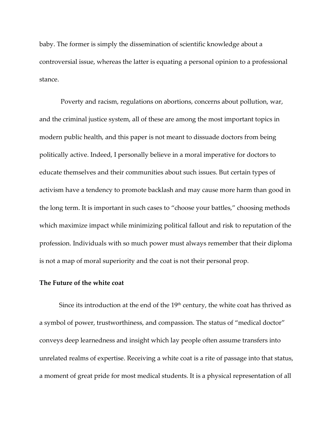baby. The former is simply the dissemination of scientific knowledge about a controversial issue, whereas the latter is equating a personal opinion to a professional stance.

Poverty and racism, regulations on abortions, concerns about pollution, war, and the criminal justice system, all of these are among the most important topics in modern public health, and this paper is not meant to dissuade doctors from being politically active. Indeed, I personally believe in a moral imperative for doctors to educate themselves and their communities about such issues. But certain types of activism have a tendency to promote backlash and may cause more harm than good in the long term. It is important in such cases to "choose your battles," choosing methods which maximize impact while minimizing political fallout and risk to reputation of the profession. Individuals with so much power must always remember that their diploma is not a map of moral superiority and the coat is not their personal prop.

# **The Future of the white coat**

Since its introduction at the end of the  $19<sup>th</sup>$  century, the white coat has thrived as a symbol of power, trustworthiness, and compassion. The status of "medical doctor" conveys deep learnedness and insight which lay people often assume transfers into unrelated realms of expertise. Receiving a white coat is a rite of passage into that status, a moment of great pride for most medical students. It is a physical representation of all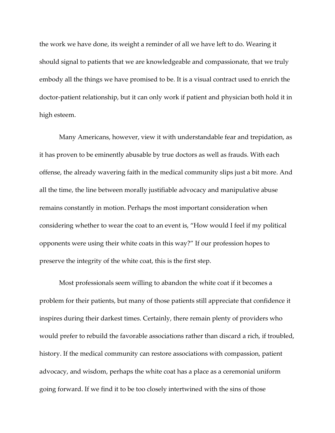the work we have done, its weight a reminder of all we have left to do. Wearing it should signal to patients that we are knowledgeable and compassionate, that we truly embody all the things we have promised to be. It is a visual contract used to enrich the doctor-patient relationship, but it can only work if patient and physician both hold it in high esteem.

Many Americans, however, view it with understandable fear and trepidation, as it has proven to be eminently abusable by true doctors as well as frauds. With each offense, the already wavering faith in the medical community slips just a bit more. And all the time, the line between morally justifiable advocacy and manipulative abuse remains constantly in motion. Perhaps the most important consideration when considering whether to wear the coat to an event is, "How would I feel if my political opponents were using their white coats in this way?" If our profession hopes to preserve the integrity of the white coat, this is the first step.

Most professionals seem willing to abandon the white coat if it becomes a problem for their patients, but many of those patients still appreciate that confidence it inspires during their darkest times. Certainly, there remain plenty of providers who would prefer to rebuild the favorable associations rather than discard a rich, if troubled, history. If the medical community can restore associations with compassion, patient advocacy, and wisdom, perhaps the white coat has a place as a ceremonial uniform going forward. If we find it to be too closely intertwined with the sins of those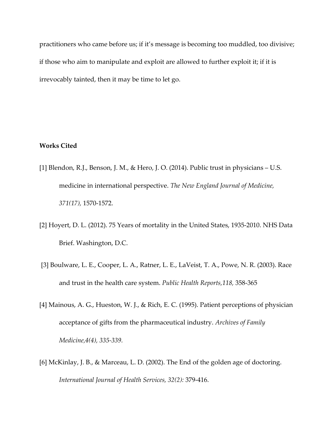practitioners who came before us; if it's message is becoming too muddled, too divisive; if those who aim to manipulate and exploit are allowed to further exploit it; if it is irrevocably tainted, then it may be time to let go.

# **Works Cited**

- [1] Blendon, R.J., Benson, J. M., & Hero, J. O. (2014). Public trust in physicians U.S. medicine in international perspective. *The New England Journal of Medicine, 371(17),* 1570-1572.
- [2] Hoyert, D. L. (2012). 75 Years of mortality in the United States, 1935-2010. NHS Data Brief. Washington, D.C.
- [3] Boulware, L. E., Cooper, L. A., Ratner, L. E., LaVeist, T. A., Powe, N. R. (2003). Race and trust in the health care system. *Public Health Reports,118,* 358-365
- [4] Mainous, A. G., Hueston, W. J., & Rich, E. C. (1995). Patient perceptions of physician acceptance of gifts from the pharmaceutical industry. *Archives of Family Medicine,4(4), 335-339.*
- [6] McKinlay, J. B., & Marceau, L. D. (2002). The End of the golden age of doctoring. *International Journal of Health Services, 32(2):* 379-416.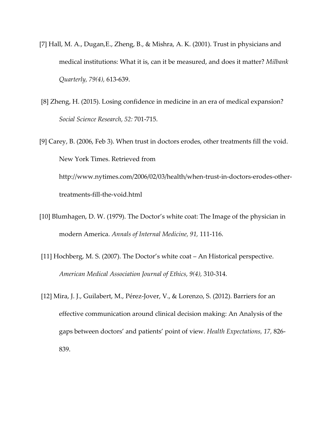- [7] Hall, M. A., Dugan,E., Zheng, B., & Mishra, A. K. (2001). Trust in physicians and medical institutions: What it is, can it be measured, and does it matter? *Milbank Quarterly, 79(4),* 613-639.
- [8] Zheng, H. (2015). Losing confidence in medicine in an era of medical expansion? *Social Science Research, 52:* 701-715.
- [9] Carey, B. (2006, Feb 3). When trust in doctors erodes, other treatments fill the void. New York Times. Retrieved from http://www.nytimes.com/2006/02/03/health/when-trust-in-doctors-erodes-othertreatments-fill-the-void.html
- [10] Blumhagen, D. W. (1979). The Doctor's white coat: The Image of the physician in modern America. *Annals of Internal Medicine, 91,* 111-116.
- [11] Hochberg, M. S. (2007). The Doctor's white coat An Historical perspective. *American Medical Association Journal of Ethics, 9(4),* 310-314.
- [12] Mira, J. J., Guilabert, M., Pérez-Jover, V., & Lorenzo, S. (2012). Barriers for an effective communication around clinical decision making: An Analysis of the gaps between doctors' and patients' point of view. *Health Expectations, 17,* 826- 839.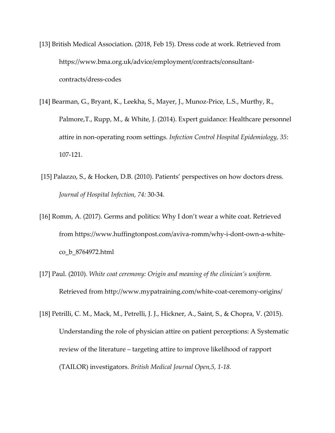- [13] British Medical Association. (2018, Feb 15). Dress code at work. Retrieved from https://www.bma.org.uk/advice/employment/contracts/consultantcontracts/dress-codes
- [14] Bearman, G., Bryant, K., Leekha, S., Mayer, J., Munoz-Price, L.S., Murthy, R., Palmore,T., Rupp, M., & White, J. (2014). Expert guidance: Healthcare personnel attire in non-operating room settings. *Infection Control Hospital Epidemiology, 35*: 107-121.
- [15] Palazzo, S., & Hocken, D.B. (2010). Patients' perspectives on how doctors dress. *Journal of Hospital Infection, 74:* 30-34.
- [16] Romm, A. (2017). Germs and politics: Why I don't wear a white coat. Retrieved from https://www.huffingtonpost.com/aviva-romm/why-i-dont-own-a-whiteco\_b\_8764972.html
- [17] Paul. (2010). *White coat ceremony: Origin and meaning of the clinician's uniform.* Retrieved from http://www.mypatraining.com/white-coat-ceremony-origins/
- [18] Petrilli, C. M., Mack, M., Petrelli, J. J., Hickner, A., Saint, S., & Chopra, V. (2015). Understanding the role of physician attire on patient perceptions: A Systematic review of the literature – targeting attire to improve likelihood of rapport (TAILOR) investigators. *British Medical Journal Open,5, 1-18.*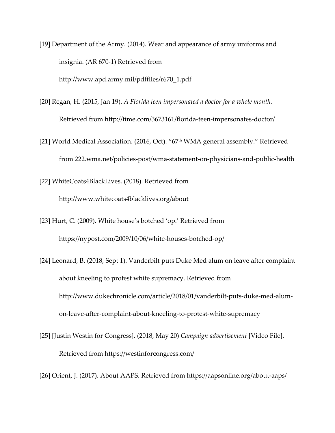[19] Department of the Army. (2014). Wear and appearance of army uniforms and insignia. (AR 670-1) Retrieved from http://www.apd.army.mil/pdffiles/r670\_1.pdf

- [20] Regan, H. (2015, Jan 19). *A Florida teen impersonated a doctor for a whole month.* Retrieved from http://time.com/3673161/florida-teen-impersonates-doctor/
- [21] World Medical Association. (2016, Oct). "67<sup>th</sup> WMA general assembly." Retrieved from 222.wma.net/policies-post/wma-statement-on-physicians-and-public-health
- [22] WhiteCoats4BlackLives. (2018). Retrieved from http://www.whitecoats4blacklives.org/about
- [23] Hurt, C. (2009). White house's botched 'op.' Retrieved from https://nypost.com/2009/10/06/white-houses-botched-op/
- [24] Leonard, B. (2018, Sept 1). Vanderbilt puts Duke Med alum on leave after complaint about kneeling to protest white supremacy. Retrieved from http://www.dukechronicle.com/article/2018/01/vanderbilt-puts-duke-med-alumon-leave-after-complaint-about-kneeling-to-protest-white-supremacy
- [25] [Justin Westin for Congress]. (2018, May 20) *Campaign advertisement* [Video File]. Retrieved from https://westinforcongress.com/
- [26] Orient, J. (2017). About AAPS. Retrieved from https://aapsonline.org/about-aaps/